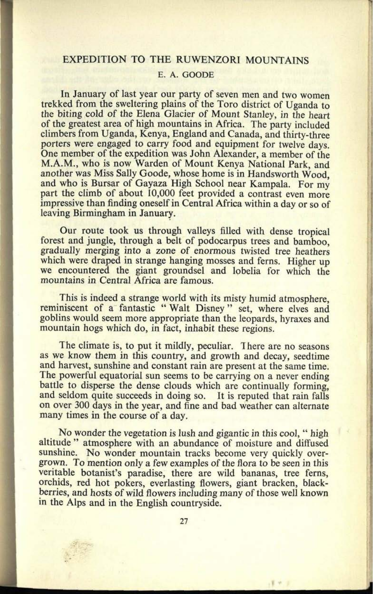## EXPEDITION TO THE RUWENZORI MOUNTAINS

## E. A. OOODE

In January of last year our party of seven men and two women trekked from the sweltering plains of the Toro district of Uganda to the biting cold of the Elena Glacier of Mount Stanley, in the heart of the greatest area of high mountains in Africa. The party included climbers from Uganda, Kenya, England and Canada, and thirty-three porters were engaged to carry food and equipment for twelve days. One member of the expedition was John Alexander, a member of the M.A.M., who is now Warden of Mount Kenya National Park, and another was Miss Sally Goode, whose home is in Handsworth Wood, and who is Bursar of Gayaza High School near Kampala. For my part the climb of about 10,000 feet provided a contrast even more impressive than finding oneself in Central Africa within a day or so of leaving Birmingham in January.

Our route took us through valleys filled with dense tropical forest and jungle, through a belt of podocarpus trees and bamboo, gradually merging into <sup>a</sup>zone of enormous twisted tree heathers which were draped in strange hanging mosses and ferns. Higher up we encountered the giant groundsel and lobelia for which the mountains in Central Africa are famous.

This is indeed a strange world with its misty humid atmosphere, reminiscent of a fantastic " Walt Disney " set, where elves and goblins would seem more appropriate than the leopards, hyraxes and mountain hogs which do, in fact, inhabit these regions.

The climate is, to put it mildly, peculiar. There are no seasons as we know them in this country, and growth and decay, seedtime and harvest, sunshine and constant rain are present at the same time. The powerful equatorial sun seems to be carrying on a never ending battle to disperse the dense clouds which are continually forming, and seldom quite succeeds in doing so. It is reputed that rain falls on over 300 days in the year, and fine and bad weather can alternate many times in the course of a day.

No wonder the vegetation is lush and gigantic in this cool, " high altitude " atmosphere with an abundance of moisture and diffused sunshine. No wonder mountain tracks become very quickly overgrown. To mention only a few examples of the flora to be seen in this veritable botanist's paradise, there are wild bananas, tree ferns, orchids, red hot pokers, everlasting flowers, giant bracken, blackberries, and hosts of wild flowers including many of those well known in the Alps and in the English countryside.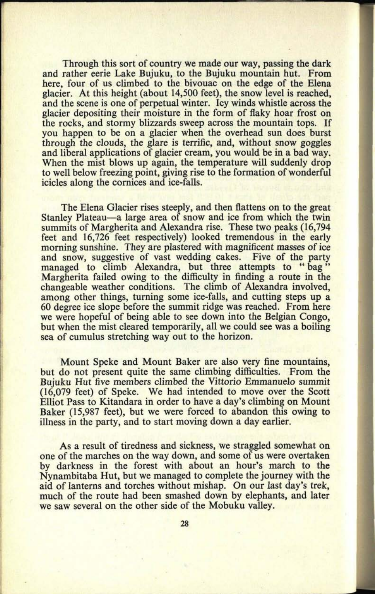Through this sort of country we made our way, passing the dark and rather eerie Lake Bujuku, to the Bujuku mountain hut. From here, four of us climbed to the bivouac on the edge of the Elena glacier. At this height (about 14,500 feet), the snow level is reached, and the scene is one of perpetual winter. Icy winds whistle across the glacier depositing their moisture in the form of flaky hoar frost on the rocks, and stormy blizzards sweep across the mountain tops. If you happen to be on a glacier when the overhead sun does burst through the clouds, the glare is terrific, and, without snow goggles and liberal applications of glacier cream, you would be in a bad way. When the mist blows up again, the temperature will suddenly drop to well below freezing point, giving rise to the formation of wonderful icicles along the cornices and ice-falls.

The Elena Glacier rises steeply, and then flattens on to the grea<sup>t</sup> Stanley Plateau—a large area of snow and ice from which the twin summits of Margherita and Alexandra rise. These two peaks (16,794 feet and 16,726 feet respectively) looked tremendous in the early morning sunshine. They are plastered with magnificent masses of ice and snow, suggestive of vast wedding cakes. Five of the party managed to climb Alexandra, but three attempts to "bag" Margherita failed owing to the difficulty in finding a route in the changeable weather conditions. The climb of Alexandra involved, among other things, turning some ice-falls, and cutting steps up a 60 degree ice slope before the summit ridge was reached. From here we were hopeful of being able to see down into the Belgian Congo, but when the mist cleared temporarily, all we could see was a boiling sea of cumulus stretching way out to the horizon.

Mount Speke and Mount Baker are also very fine mountains, but do not present quite the same climbing difficulties. From the Bujuku Hut five members climbed the Vittorio Emmanuelo summit (16,079 feet) of Speke. We had intended to move over the Scott Elliot Pass to Kitandara in order to have a day's climbing on Mount Baker (15,987 feet), but we were forced to abandon this owing to illness in the party, and to start moving down a day earlier.

As a result of tiredness and sickness, we straggled somewhat on one of the marches on the way down, and some of us were overtaken by darkness in the forest with about an hour's march to the Nynambitaba Hut, but we managed to complete the journey with the aid of lanterns and torches without mishap. On our last day's trek, much of the route had been smashed down by elephants, and later we saw several on the other side of the Mobuku valley.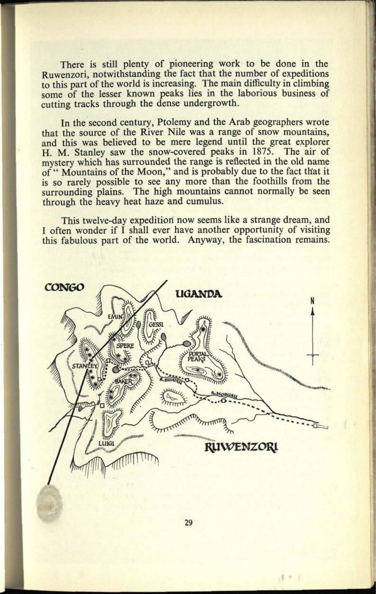There is still plenty of pioneering work to be done in the Ruwenzori, notwithstanding the fact that the number of expeditions to this part of the world is increasing. The main difficulty in climbing some of the lesser known peaks lies in the laborious business of cutting tracks through the dense undergrowth.

In the second century, Ptolemy and the Arab geographers wrote that the source of the River Nile was a range of snow mountains, and this was believed to be mere legend until the great explorer H. M. Stanley saw the snow-covered peaks in 1875. The air of mystery which has surrounded the range is reflected in the old name of " Mountains of the Moon," and is probably due to the fact that it is so rarely possible to see any more than the foothills from the surrounding plains. The high mountains cannot normally be seen through the heavy heat haze and cumulus.

This twelve-day expedition now seems like a strange dream, and I often wonder if I shall ever have another opportunity of visiting this fabulous part of the world. Anyway, the fascination remains.



29

I \*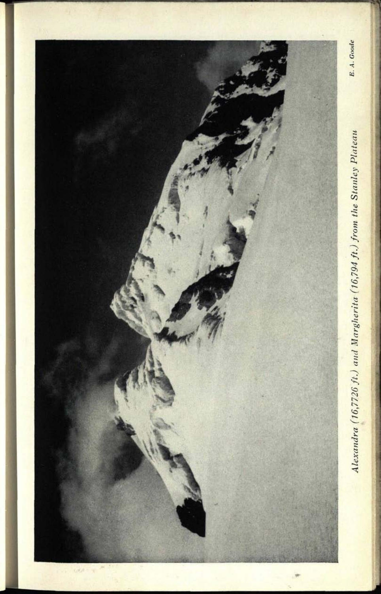